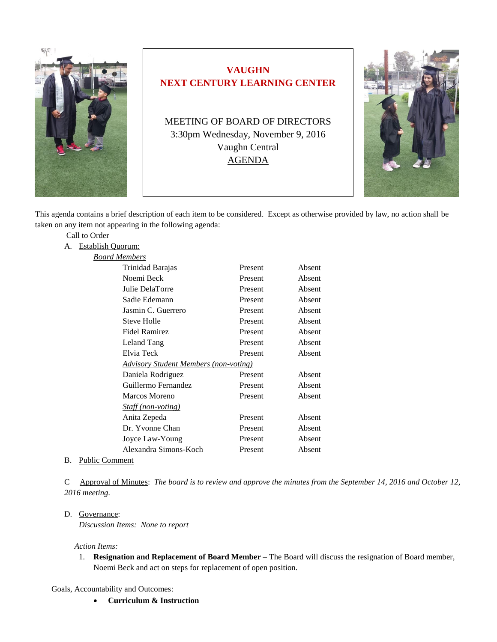

# **VAUGHN NEXT CENTURY LEARNING CENTER**

MEETING OF BOARD OF DIRECTORS 3:30pm Wednesday, November 9, 2016 Vaughn Central AGENDA



This agenda contains a brief description of each item to be considered. Except as otherwise provided by law, no action shall be taken on any item not appearing in the following agenda:

| Call to Order           |                                                     |         |        |
|-------------------------|-----------------------------------------------------|---------|--------|
| Establish Quorum:<br>А. |                                                     |         |        |
|                         | <b>Board Members</b>                                |         |        |
|                         | Trinidad Barajas                                    | Present | Absent |
|                         | Noemi Beck                                          | Present | Absent |
|                         | Julie DelaTorre                                     | Present | Absent |
|                         | Sadie Edemann                                       | Present | Absent |
|                         | Jasmin C. Guerrero                                  | Present | Absent |
|                         | <b>Steve Holle</b>                                  | Present | Absent |
|                         | <b>Fidel Ramirez</b>                                | Present | Absent |
|                         | Leland Tang                                         | Present | Absent |
|                         | Elvia Teck                                          | Present | Absent |
|                         | <u><b>Advisory Student Members (non-voting)</b></u> |         |        |
|                         | Daniela Rodriguez                                   | Present | Absent |
|                         | Guillermo Fernandez                                 | Present | Absent |
|                         | <b>Marcos Moreno</b>                                | Present | Absent |
|                         | <i>Staff (non-voting)</i>                           |         |        |
|                         | Anita Zepeda                                        | Present | Absent |
|                         | Dr. Yvonne Chan                                     | Present | Absent |
|                         | Joyce Law-Young                                     | Present | Absent |
|                         | Alexandra Simons-Koch                               | Present | Absent |
|                         |                                                     |         |        |

## B. Public Comment

C Approval of Minutes: *The board is to review and approve the minutes from the September 14, 2016 and October 12, 2016 meeting.*

#### D. Governance:

*Discussion Items: None to report*

#### *Action Items:*

1. **Resignation and Replacement of Board Member** – The Board will discuss the resignation of Board member, Noemi Beck and act on steps for replacement of open position.

Goals, Accountability and Outcomes:

**Curriculum & Instruction**